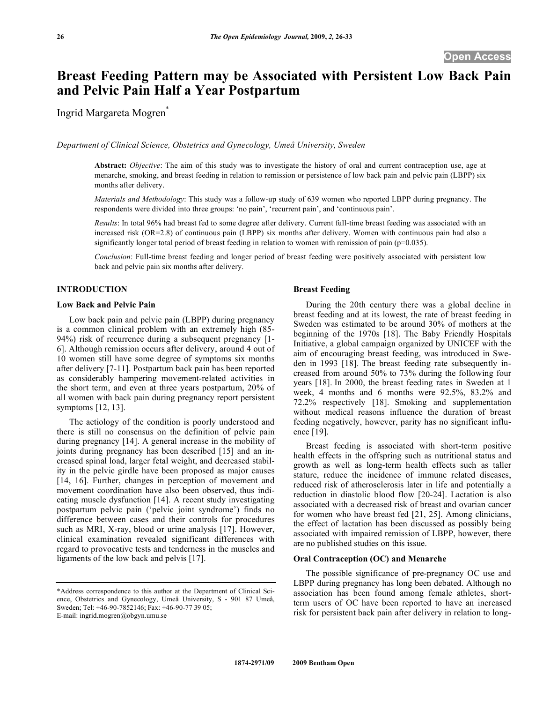# **Breast Feeding Pattern may be Associated with Persistent Low Back Pain and Pelvic Pain Half a Year Postpartum**

Ingrid Margareta Mogren\*

*Department of Clinical Science, Obstetrics and Gynecology, Umeå University, Sweden* 

**Abstract:** *Objective*: The aim of this study was to investigate the history of oral and current contraception use, age at menarche, smoking, and breast feeding in relation to remission or persistence of low back pain and pelvic pain (LBPP) six months after delivery.

*Materials and Methodology*: This study was a follow-up study of 639 women who reported LBPP during pregnancy. The respondents were divided into three groups: 'no pain', 'recurrent pain', and 'continuous pain'.

*Results*: In total 96% had breast fed to some degree after delivery. Current full-time breast feeding was associated with an increased risk (OR=2.8) of continuous pain (LBPP) six months after delivery. Women with continuous pain had also a significantly longer total period of breast feeding in relation to women with remission of pain (p=0.035).

*Conclusion*: Full-time breast feeding and longer period of breast feeding were positively associated with persistent low back and pelvic pain six months after delivery.

## **INTRODUCTION**

## **Low Back and Pelvic Pain**

 Low back pain and pelvic pain (LBPP) during pregnancy is a common clinical problem with an extremely high (85- 94%) risk of recurrence during a subsequent pregnancy [1- 6]. Although remission occurs after delivery, around 4 out of 10 women still have some degree of symptoms six months after delivery [7-11]. Postpartum back pain has been reported as considerably hampering movement-related activities in the short term, and even at three years postpartum, 20% of all women with back pain during pregnancy report persistent symptoms [12, 13].

 The aetiology of the condition is poorly understood and there is still no consensus on the definition of pelvic pain during pregnancy [14]. A general increase in the mobility of joints during pregnancy has been described [15] and an increased spinal load, larger fetal weight, and decreased stability in the pelvic girdle have been proposed as major causes [14, 16]. Further, changes in perception of movement and movement coordination have also been observed, thus indicating muscle dysfunction [14]. A recent study investigating postpartum pelvic pain ('pelvic joint syndrome') finds no difference between cases and their controls for procedures such as MRI, X-ray, blood or urine analysis [17]. However, clinical examination revealed significant differences with regard to provocative tests and tenderness in the muscles and ligaments of the low back and pelvis [17].

## **Breast Feeding**

 During the 20th century there was a global decline in breast feeding and at its lowest, the rate of breast feeding in Sweden was estimated to be around 30% of mothers at the beginning of the 1970s [18]. The Baby Friendly Hospitals Initiative, a global campaign organized by UNICEF with the aim of encouraging breast feeding, was introduced in Sweden in 1993 [18]. The breast feeding rate subsequently increased from around 50% to 73% during the following four years [18]. In 2000, the breast feeding rates in Sweden at 1 week, 4 months and 6 months were 92.5%, 83.2% and 72.2% respectively [18]. Smoking and supplementation without medical reasons influence the duration of breast feeding negatively, however, parity has no significant influence [19].

 Breast feeding is associated with short-term positive health effects in the offspring such as nutritional status and growth as well as long-term health effects such as taller stature, reduce the incidence of immune related diseases, reduced risk of atherosclerosis later in life and potentially a reduction in diastolic blood flow [20-24]. Lactation is also associated with a decreased risk of breast and ovarian cancer for women who have breast fed [21, 25]. Among clinicians, the effect of lactation has been discussed as possibly being associated with impaired remission of LBPP, however, there are no published studies on this issue.

# **Oral Contraception (OC) and Menarche**

 The possible significance of pre-pregnancy OC use and LBPP during pregnancy has long been debated. Although no association has been found among female athletes, shortterm users of OC have been reported to have an increased risk for persistent back pain after delivery in relation to long-

<sup>\*</sup>Address correspondence to this author at the Department of Clinical Science, Obstetrics and Gynecology, Umeå University, S - 901 87 Umeå, Sweden; Tel: +46-90-7852146; Fax: +46-90-77 39 05; E-mail: ingrid.mogren@obgyn.umu.se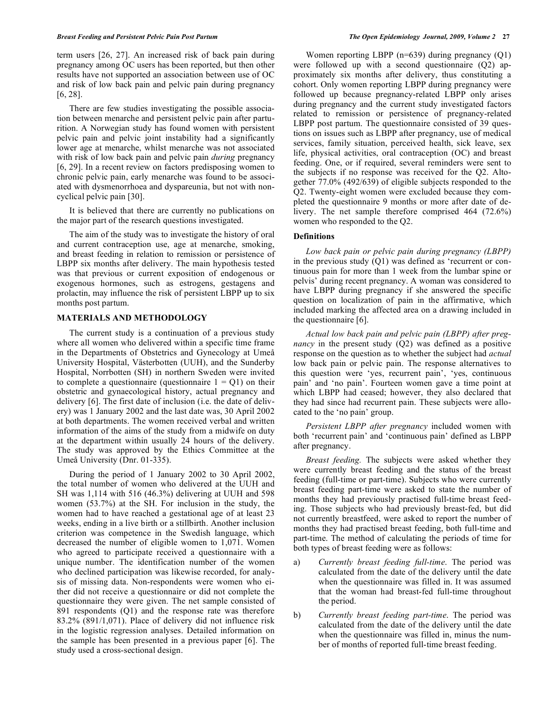term users [26, 27]. An increased risk of back pain during pregnancy among OC users has been reported, but then other results have not supported an association between use of OC and risk of low back pain and pelvic pain during pregnancy [6, 28].

 There are few studies investigating the possible association between menarche and persistent pelvic pain after parturition. A Norwegian study has found women with persistent pelvic pain and pelvic joint instability had a significantly lower age at menarche, whilst menarche was not associated with risk of low back pain and pelvic pain *during* pregnancy [6, 29]. In a recent review on factors predisposing women to chronic pelvic pain, early menarche was found to be associated with dysmenorrhoea and dyspareunia, but not with noncyclical pelvic pain [30].

 It is believed that there are currently no publications on the major part of the research questions investigated.

 The aim of the study was to investigate the history of oral and current contraception use, age at menarche, smoking, and breast feeding in relation to remission or persistence of LBPP six months after delivery. The main hypothesis tested was that previous or current exposition of endogenous or exogenous hormones, such as estrogens, gestagens and prolactin, may influence the risk of persistent LBPP up to six months post partum.

# **MATERIALS AND METHODOLOGY**

 The current study is a continuation of a previous study where all women who delivered within a specific time frame in the Departments of Obstetrics and Gynecology at Umeå University Hospital, Västerbotten (UUH), and the Sunderby Hospital, Norrbotten (SH) in northern Sweden were invited to complete a questionnaire (questionnaire  $1 = Q1$ ) on their obstetric and gynaecological history, actual pregnancy and delivery [6]. The first date of inclusion (i.e. the date of delivery) was 1 January 2002 and the last date was, 30 April 2002 at both departments. The women received verbal and written information of the aims of the study from a midwife on duty at the department within usually 24 hours of the delivery. The study was approved by the Ethics Committee at the Umeå University (Dnr. 01-335).

 During the period of 1 January 2002 to 30 April 2002, the total number of women who delivered at the UUH and SH was 1,114 with 516 (46.3%) delivering at UUH and 598 women (53.7%) at the SH. For inclusion in the study, the women had to have reached a gestational age of at least 23 weeks, ending in a live birth or a stillbirth. Another inclusion criterion was competence in the Swedish language, which decreased the number of eligible women to 1,071. Women who agreed to participate received a questionnaire with a unique number. The identification number of the women who declined participation was likewise recorded, for analysis of missing data. Non-respondents were women who either did not receive a questionnaire or did not complete the questionnaire they were given. The net sample consisted of 891 respondents (Q1) and the response rate was therefore 83.2% (891/1,071). Place of delivery did not influence risk in the logistic regression analyses. Detailed information on the sample has been presented in a previous paper [6]. The study used a cross-sectional design.

Women reporting LBPP (n=639) during pregnancy (O1) were followed up with a second questionnaire (Q2) approximately six months after delivery, thus constituting a cohort. Only women reporting LBPP during pregnancy were followed up because pregnancy-related LBPP only arises during pregnancy and the current study investigated factors related to remission or persistence of pregnancy-related LBPP post partum. The questionnaire consisted of 39 questions on issues such as LBPP after pregnancy, use of medical services, family situation, perceived health, sick leave, sex life, physical activities, oral contraception (OC) and breast feeding. One, or if required, several reminders were sent to the subjects if no response was received for the Q2. Altogether 77.0% (492/639) of eligible subjects responded to the Q2. Twenty-eight women were excluded because they completed the questionnaire 9 months or more after date of delivery. The net sample therefore comprised 464 (72.6%) women who responded to the Q2.

# **Definitions**

 *Low back pain or pelvic pain during pregnancy (LBPP)* in the previous study (Q1) was defined as 'recurrent or continuous pain for more than 1 week from the lumbar spine or pelvis' during recent pregnancy. A woman was considered to have LBPP during pregnancy if she answered the specific question on localization of pain in the affirmative, which included marking the affected area on a drawing included in the questionnaire [6].

 *Actual low back pain and pelvic pain (LBPP) after pregnancy* in the present study (Q2) was defined as a positive response on the question as to whether the subject had *actual* low back pain or pelvic pain. The response alternatives to this question were 'yes, recurrent pain', 'yes, continuous pain' and 'no pain'. Fourteen women gave a time point at which LBPP had ceased; however, they also declared that they had since had recurrent pain. These subjects were allocated to the 'no pain' group.

 *Persistent LBPP after pregnancy* included women with both 'recurrent pain' and 'continuous pain' defined as LBPP after pregnancy.

 *Breast feeding.* The subjects were asked whether they were currently breast feeding and the status of the breast feeding (full-time or part-time). Subjects who were currently breast feeding part-time were asked to state the number of months they had previously practised full-time breast feeding. Those subjects who had previously breast-fed, but did not currently breastfeed, were asked to report the number of months they had practised breast feeding, both full-time and part-time. The method of calculating the periods of time for both types of breast feeding were as follows:

- a) *Currently breast feeding full-time*. The period was calculated from the date of the delivery until the date when the questionnaire was filled in. It was assumed that the woman had breast-fed full-time throughout the period.
- b) *Currently breast feeding part-time*. The period was calculated from the date of the delivery until the date when the questionnaire was filled in, minus the number of months of reported full-time breast feeding.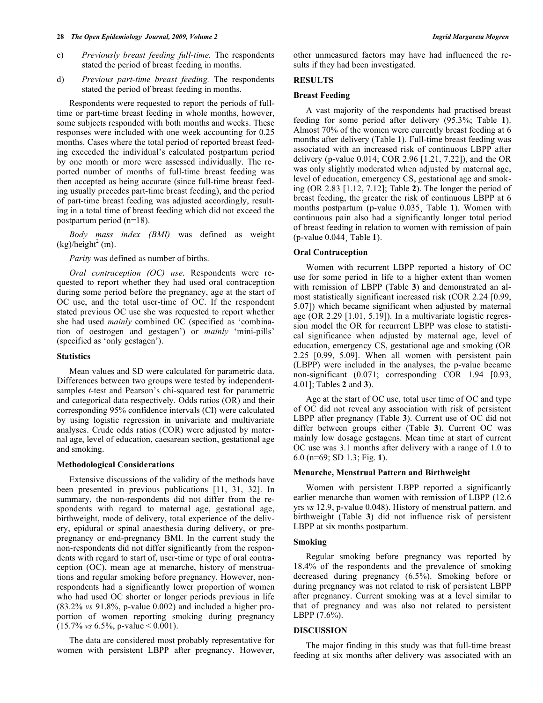- c) *Previously breast feeding full-time.* The respondents stated the period of breast feeding in months.
- d) *Previous part-time breast feeding.* The respondents stated the period of breast feeding in months.

 Respondents were requested to report the periods of fulltime or part-time breast feeding in whole months, however, some subjects responded with both months and weeks. These responses were included with one week accounting for 0.25 months. Cases where the total period of reported breast feeding exceeded the individual's calculated postpartum period by one month or more were assessed individually. The reported number of months of full-time breast feeding was then accepted as being accurate (since full-time breast feeding usually precedes part-time breast feeding), and the period of part-time breast feeding was adjusted accordingly, resulting in a total time of breast feeding which did not exceed the postpartum period (n=18).

 *Body mass index (BMI)* was defined as weight  $(kg)/\text{height}^2$  (m).

 *Parity* was defined as number of births.

 *Oral contraception (OC) use*. Respondents were requested to report whether they had used oral contraception during some period before the pregnancy, age at the start of OC use, and the total user-time of OC. If the respondent stated previous OC use she was requested to report whether she had used *mainly* combined OC (specified as 'combination of oestrogen and gestagen') or *mainly* 'mini-pills' (specified as 'only gestagen').

# **Statistics**

 Mean values and SD were calculated for parametric data. Differences between two groups were tested by independentsamples *t*-test and Pearson's chi-squared test for parametric and categorical data respectively. Odds ratios (OR) and their corresponding 95% confidence intervals (CI) were calculated by using logistic regression in univariate and multivariate analyses. Crude odds ratios (COR) were adjusted by maternal age, level of education, caesarean section, gestational age and smoking.

## **Methodological Considerations**

 Extensive discussions of the validity of the methods have been presented in previous publications [11, 31, 32]. In summary, the non-respondents did not differ from the respondents with regard to maternal age, gestational age, birthweight, mode of delivery, total experience of the delivery, epidural or spinal anaesthesia during delivery, or prepregnancy or end-pregnancy BMI. In the current study the non-respondents did not differ significantly from the respondents with regard to start of, user-time or type of oral contraception (OC), mean age at menarche, history of menstruations and regular smoking before pregnancy. However, nonrespondents had a significantly lower proportion of women who had used OC shorter or longer periods previous in life (83.2% *vs* 91.8%, p-value 0.002) and included a higher proportion of women reporting smoking during pregnancy (15.7% *vs* 6.5%, p-value < 0.001).

 The data are considered most probably representative for women with persistent LBPP after pregnancy. However,

other unmeasured factors may have had influenced the results if they had been investigated.

# **RESULTS**

#### **Breast Feeding**

 A vast majority of the respondents had practised breast feeding for some period after delivery (95.3%; Table **1**). Almost 70% of the women were currently breast feeding at 6 months after delivery (Table **1**). Full-time breast feeding was associated with an increased risk of continuous LBPP after delivery (p-value 0.014; COR 2.96 [1.21, 7.22]), and the OR was only slightly moderated when adjusted by maternal age, level of education, emergency CS, gestational age and smoking (OR 2.83 [1.12, 7.12]; Table **2**). The longer the period of breast feeding, the greater the risk of continuous LBPP at 6 months postpartum (p-value 0.035¸ Table **1**). Women with continuous pain also had a significantly longer total period of breast feeding in relation to women with remission of pain (p-value 0.044¸ Table **1**).

## **Oral Contraception**

 Women with recurrent LBPP reported a history of OC use for some period in life to a higher extent than women with remission of LBPP (Table **3**) and demonstrated an almost statistically significant increased risk (COR 2.24 [0.99, 5.07]) which became significant when adjusted by maternal age (OR 2.29 [1.01, 5.19]). In a multivariate logistic regression model the OR for recurrent LBPP was close to statistical significance when adjusted by maternal age, level of education, emergency CS, gestational age and smoking (OR 2.25 [0.99, 5.09]. When all women with persistent pain (LBPP) were included in the analyses, the p-value became non-significant (0.071; corresponding COR 1.94 [0.93, 4.01]; Tables **2** and **3**).

 Age at the start of OC use, total user time of OC and type of OC did not reveal any association with risk of persistent LBPP after pregnancy (Table **3**). Current use of OC did not differ between groups either (Table **3**). Current OC was mainly low dosage gestagens. Mean time at start of current OC use was 3.1 months after delivery with a range of 1.0 to 6.0 (n=69; SD 1.3; Fig. **1**).

## **Menarche, Menstrual Pattern and Birthweight**

 Women with persistent LBPP reported a significantly earlier menarche than women with remission of LBPP (12.6 yrs *vs* 12.9, p-value 0.048). History of menstrual pattern, and birthweight (Table **3**) did not influence risk of persistent LBPP at six months postpartum.

# **Smoking**

 Regular smoking before pregnancy was reported by 18.4% of the respondents and the prevalence of smoking decreased during pregnancy (6.5%). Smoking before or during pregnancy was not related to risk of persistent LBPP after pregnancy. Current smoking was at a level similar to that of pregnancy and was also not related to persistent LBPP (7.6%).

## **DISCUSSION**

 The major finding in this study was that full-time breast feeding at six months after delivery was associated with an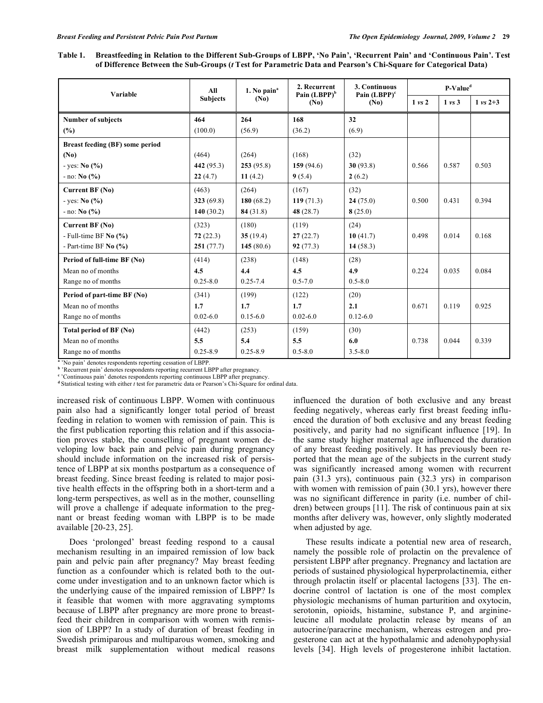**Table 1. Breastfeeding in Relation to the Different Sub-Groups of LBPP, 'No Pain', 'Recurrent Pain' and 'Continuous Pain'. Test of Difference Between the Sub-Groups (***t* **Test for Parametric Data and Pearson's Chi-Square for Categorical Data)** 

| Variable                        | All             | 1. No pain <sup>a</sup><br>(No) | 2. Recurrent<br>Pain $(LBPP)^b$<br>(N <sub>0</sub> ) | 3. Continuous<br>Pain $(LBPP)^c$<br>(N <sub>0</sub> ) | P-Value <sup>d</sup> |                   |                     |
|---------------------------------|-----------------|---------------------------------|------------------------------------------------------|-------------------------------------------------------|----------------------|-------------------|---------------------|
|                                 | <b>Subjects</b> |                                 |                                                      |                                                       | $1 \text{ vs } 2$    | $1 \text{ vs } 3$ | $1 \text{ vs } 2+3$ |
| <b>Number of subjects</b>       | 464             | 264                             | 168                                                  | 32                                                    |                      |                   |                     |
| (%)                             | (100.0)         | (56.9)                          | (36.2)                                               | (6.9)                                                 |                      |                   |                     |
| Breast feeding (BF) some period |                 |                                 |                                                      |                                                       |                      |                   |                     |
| (N <sub>0</sub> )               | (464)           | (264)                           | (168)                                                | (32)                                                  |                      |                   |                     |
| $-$ yes: No $(%$ )              | 442 $(95.3)$    | 253(95.8)                       | 159(94.6)                                            | 30(93.8)                                              | 0.566                | 0.587             | 0.503               |
| $-$ no: No $(\% )$              | 22(4.7)         | 11(4.2)                         | 9(5.4)                                               | 2(6.2)                                                |                      |                   |                     |
| Current BF (No)                 | (463)           | (264)                           | (167)                                                | (32)                                                  |                      |                   |                     |
| $-$ yes: No $(\% )$             | 323(69.8)       | 180(68.2)                       | 119(71.3)                                            | 24(75.0)                                              | 0.500                | 0.431             | 0.394               |
| $-$ no: No $(\% )$              | 140(30.2)       | 84(31.8)                        | 48 $(28.7)$                                          | 8(25.0)                                               |                      |                   |                     |
| Current BF (No)                 | (323)           | (180)                           | (119)                                                | (24)                                                  |                      |                   |                     |
| - Full-time BF $No$ $(\%)$      | 72(22.3)        | 35(19.4)                        | 27(22.7)                                             | 10(41.7)                                              | 0.498                | 0.014             | 0.168               |
| - Part-time BF $No$ $(\% )$     | 251(77.7)       | 145(80.6)                       | 92(77.3)                                             | 14(58.3)                                              |                      |                   |                     |
| Period of full-time BF (No)     | (414)           | (238)                           | (148)                                                | (28)                                                  |                      |                   |                     |
| Mean no of months               | 4.5             | 4.4                             | 4.5                                                  | 4.9                                                   | 0.224                | 0.035             | 0.084               |
| Range no of months              | $0.25 - 8.0$    | $0.25 - 7.4$                    | $0.5 - 7.0$                                          | $0.5 - 8.0$                                           |                      |                   |                     |
| Period of part-time BF (No)     | (341)           | (199)                           | (122)                                                | (20)                                                  |                      |                   |                     |
| Mean no of months               | 1.7             | 1.7                             | 1.7                                                  | 2.1                                                   | 0.671                | 0.119             | 0.925               |
| Range no of months              | $0.02 - 6.0$    | $0.15 - 6.0$                    | $0.02 - 6.0$                                         | $0.12 - 6.0$                                          |                      |                   |                     |
| Total period of BF (No)         | (442)           | (253)                           | (159)                                                | (30)                                                  |                      |                   |                     |
| Mean no of months               | 5.5             | 5.4                             | 5.5                                                  | 6.0                                                   | 0.738                | 0.044             | 0.339               |
| Range no of months              | $0.25 - 8.9$    | $0.25 - 8.9$                    | $0.5 - 8.0$                                          | $3.5 - 8.0$                                           |                      |                   |                     |

<sup>a</sup> 'No pain' denotes respondents reporting cessation of LBPP.

<sup>b</sup> 'Recurrent pain' denotes respondents reporting recurrent LBPP after pregnancy.

<sup>e</sup> 'Continuous pain' denotes respondents reporting continuous LBPP after pregnancy.

<sup>d</sup> Statistical testing with either *t* test for parametric data or Pearson's Chi-Square for ordinal data

increased risk of continuous LBPP. Women with continuous pain also had a significantly longer total period of breast feeding in relation to women with remission of pain. This is the first publication reporting this relation and if this association proves stable, the counselling of pregnant women developing low back pain and pelvic pain during pregnancy should include information on the increased risk of persistence of LBPP at six months postpartum as a consequence of breast feeding. Since breast feeding is related to major positive health effects in the offspring both in a short-term and a long-term perspectives, as well as in the mother, counselling will prove a challenge if adequate information to the pregnant or breast feeding woman with LBPP is to be made available [20-23, 25].

 Does 'prolonged' breast feeding respond to a causal mechanism resulting in an impaired remission of low back pain and pelvic pain after pregnancy? May breast feeding function as a confounder which is related both to the outcome under investigation and to an unknown factor which is the underlying cause of the impaired remission of LBPP? Is it feasible that women with more aggravating symptoms because of LBPP after pregnancy are more prone to breastfeed their children in comparison with women with remission of LBPP? In a study of duration of breast feeding in Swedish primiparous and multiparous women, smoking and breast milk supplementation without medical reasons

influenced the duration of both exclusive and any breast feeding negatively, whereas early first breast feeding influenced the duration of both exclusive and any breast feeding positively, and parity had no significant influence [19]. In the same study higher maternal age influenced the duration of any breast feeding positively. It has previously been reported that the mean age of the subjects in the current study was significantly increased among women with recurrent pain (31.3 yrs), continuous pain (32.3 yrs) in comparison with women with remission of pain (30.1 yrs), however there was no significant difference in parity (i.e. number of children) between groups [11]. The risk of continuous pain at six months after delivery was, however, only slightly moderated when adjusted by age.

 These results indicate a potential new area of research, namely the possible role of prolactin on the prevalence of persistent LBPP after pregnancy. Pregnancy and lactation are periods of sustained physiological hyperprolactinemia, either through prolactin itself or placental lactogens [33]. The endocrine control of lactation is one of the most complex physiologic mechanisms of human parturition and oxytocin, serotonin, opioids, histamine, substance P, and arginineleucine all modulate prolactin release by means of an autocrine/paracrine mechanism, whereas estrogen and progesterone can act at the hypothalamic and adenohypophysial levels [34]. High levels of progesterone inhibit lactation.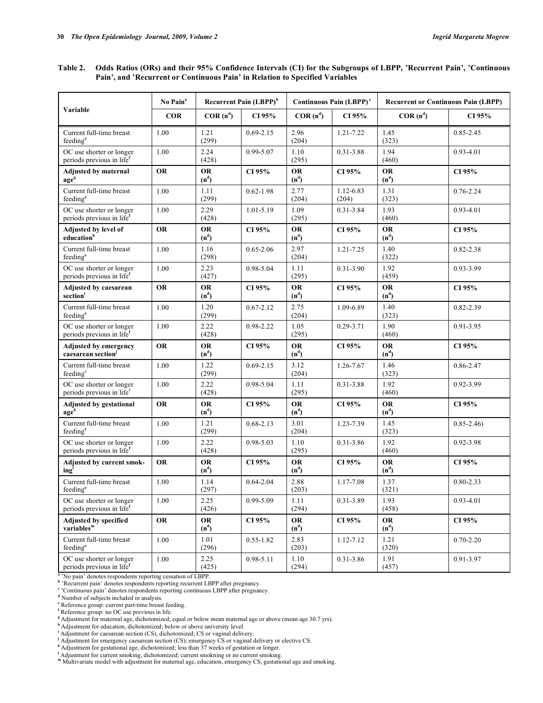**Table 2. Odds Ratios (ORs) and their 95% Confidence Intervals (CI) for the Subgroups of LBPP, 'Recurrent Pain', 'Continuous Pain', and 'Recurrent or Continuous Pain' in Relation to Specified Variables** 

|                                                                   | No Pain <sup>a</sup> | Recurrent Pain (LBPP) <sup>b</sup> |               | Continuous Pain (LBPP) <sup>c</sup> |                    | <b>Recurrent or Continuous Pain (LBPP)</b> |               |  |
|-------------------------------------------------------------------|----------------------|------------------------------------|---------------|-------------------------------------|--------------------|--------------------------------------------|---------------|--|
| Variable                                                          | <b>COR</b>           | $COR(n^d)$                         | CI 95%        | $COR(n^d)$                          | CI 95%             | $COR(n^d)$                                 | CI 95%        |  |
| Current full-time breast<br>feeding <sup>e</sup>                  | 1.00                 | 1.21<br>(299)                      | $0.69 - 2.15$ | 2.96<br>(204)                       | 1.21-7.22          | 1.45<br>(323)                              | 0.85-2.45     |  |
| OC use shorter or longer<br>periods previous in lifef             | 1.00                 | 2.24<br>(428)                      | 0.99-5.07     | 1.10<br>(295)                       | $0.31 - 3.88$      | 1.94<br>(460)                              | $0.93 - 4.01$ |  |
| <b>Adjusted by maternal</b><br>ageg                               | <b>OR</b>            | <b>OR</b><br>(n <sup>d</sup> )     | CI 95%        | <b>OR</b><br>(n <sup>d</sup> )      | CI 95%             | <b>OR</b><br>(n <sup>d</sup> )             | CI 95%        |  |
| Current full-time breast<br>feeding <sup>e</sup>                  | 1.00                 | 1.11<br>(299)                      | $0.62 - 1.98$ | 2.77<br>(204)                       | 1.12-6.83<br>(204) | 1.31<br>(323)                              | $0.76 - 2.24$ |  |
| OC use shorter or longer<br>periods previous in life <sup>f</sup> | 1.00                 | 2.29<br>(428)                      | 1.01-5.19     | 1.09<br>(295)                       | $0.31 - 3.84$      | 1.93<br>(460)                              | $0.93 - 4.01$ |  |
| Adjusted by level of<br>education <sup>h</sup>                    | <b>OR</b>            | <b>OR</b><br>(n <sup>d</sup> )     | CI 95%        | <b>OR</b><br>(n <sup>d</sup> )      | CI 95%             | <b>OR</b><br>(n <sup>d</sup> )             | CI 95%        |  |
| Current full-time breast<br>feeding <sup>e</sup>                  | 1.00                 | 1.16<br>(298)                      | $0.65 - 2.06$ | 2.97<br>(204)                       | 1.21-7.25          | 1.40<br>(322)                              | 0.82-2.38     |  |
| OC use shorter or longer<br>periods previous in life <sup>f</sup> | 1.00                 | 2.23<br>(427)                      | 0.98-5.04     | 1.11<br>(295)                       | $0.31 - 3.90$      | 1.92<br>(459)                              | 0.93-3.99     |  |
| <b>Adjusted by caesarean</b><br>section                           | <b>OR</b>            | <b>OR</b><br>$(n^d)$               | CI 95%        | <b>OR</b><br>$(n^d)$                | CI 95%             | <b>OR</b><br>$(n^d)$                       | CI 95%        |  |
| Current full-time breast<br>feeding <sup>e</sup>                  | 1.00                 | 1.20<br>(299)                      | $0.67 - 2.12$ | 2.75<br>(204)                       | 1.09-6.89          | 1.40<br>(323)                              | 0.82-2.39     |  |
| OC use shorter or longer<br>periods previous in life <sup>f</sup> | 1.00                 | 2.22<br>(428)                      | 0.98-2.22     | 1.05<br>(295)                       | $0.29 - 3.71$      | 1.90<br>(460)                              | 0.91-3.95     |  |
| <b>Adjusted by emergency</b><br>caesarean section <sup>j</sup>    | <b>OR</b>            | <b>OR</b><br>$(n^d)$               | CI 95%        | <b>OR</b><br>$(n^d)$                | CI 95%             | <b>OR</b><br>$(n^d)$                       | CI 95%        |  |
| Current full-time breast<br>feeding <sup>e</sup>                  | 1.00                 | 1.22<br>(299)                      | $0.69 - 2.15$ | 3.12<br>(204)                       | 1.26-7.67          | 1.46<br>(323)                              | 0.86-2.47     |  |
| OC use shorter or longer<br>periods previous in life <sup>f</sup> | 1.00                 | 2.22<br>(428)                      | 0.98-5.04     | 1.11<br>(295)                       | $0.31 - 3.88$      | 1.92<br>(460)                              | 0.92-3.99     |  |
| <b>Adjusted by gestational</b><br>age <sup>k</sup>                | <b>OR</b>            | <b>OR</b><br>(n <sup>d</sup> )     | CI 95%        | <b>OR</b><br>(n <sup>d</sup> )      | CI 95%             | <b>OR</b><br>(n <sup>d</sup> )             | CI 95%        |  |
| Current full-time breast<br>feeding <sup>e</sup>                  | 1.00                 | 1.21<br>(299)                      | $0.68 - 2.13$ | 3.01<br>(204)                       | 1.23-7.39          | 1.45<br>(323)                              | $0.85 - 2.46$ |  |
| OC use shorter or longer<br>periods previous in life <sup>f</sup> | 1.00                 | 2.22<br>(428)                      | 0.98-5.03     | 1.10<br>(295)                       | $0.31 - 3.86$      | 1.92<br>(460)                              | 0.92-3.98     |  |
| Adjusted by current smok-<br>ing <sup>'</sup>                     | <b>OR</b>            | <b>OR</b><br>$(n^d)$               | CI 95%        | <b>OR</b><br>$(n^d)$                | CI 95%             | <b>OR</b><br>$(n^d)$                       | CI 95%        |  |
| Current full-time breast<br>feeding <sup>e</sup>                  | 1.00                 | 1.14<br>(297)                      | $0.64 - 2.04$ | 2.88<br>(203)                       | 1.17-7.08          | 1.37<br>(321)                              | $0.80 - 2.33$ |  |
| OC use shorter or longer<br>periods previous in life <sup>f</sup> | 1.00                 | 2.25<br>(426)                      | 0.99-5.09     | 1.11<br>(294)                       | 0.31-3.89          | 1.93<br>(458)                              | $0.93 - 4.01$ |  |
| Adjusted by specified<br>variable <sup>m</sup>                    | OR                   | OR<br>$(n^d)$                      | CI 95%        | <b>OR</b><br>$(n^d)$                | CI 95%             | <b>OR</b><br>(n <sup>d</sup> )             | CI 95%        |  |
| Current full-time breast<br>feeding <sup>e</sup>                  | 1.00                 | 1.01<br>(296)                      | $0.55 - 1.82$ | 2.83<br>(203)                       | 1.12-7.12          | 1.21<br>(320)                              | $0.70 - 2.20$ |  |
| OC use shorter or longer<br>periods previous in life <sup>f</sup> | $1.00\,$             | 2.25<br>(425)                      | 0.98-5.11     | 1.10<br>(294)                       | $0.31 - 3.86$      | 1.91<br>(457)                              | 0.91-3.97     |  |

<sup>a</sup> 'No pain' denotes respondents reporting cessation of LBPP.

**b** 'Recurrent pain' denotes respondents reporting recurrent LBPP after pregnancy.

<sup>e</sup> 'Continuous pain' denotes respondents reporting continuous LBPP after pregnancy.

**d** Number of subjects included in analysis.

**e** Reference group: current part-time breast feeding.

**f** Reference group: no OC use previous in life.

**<sup>g</sup>**Adjustment for maternal age, dichotomized; equal or below mean maternal age or above (mean age 30.7 yrs).

**<sup>h</sup>**Adjustment for education, dichotomized; below or above university level.

<sup>i</sup> Adjustment for caesarean section (CS), dichotomized; CS or vaginal delivery.

Adjustment for emergency caesarean section (CS); emergency CS or vaginal delivery or elective CS.<br>KAdjustment for gestational age, dichotomized; less than 37 weeks of gestation or longer.<br>Adjustment for current smoking, di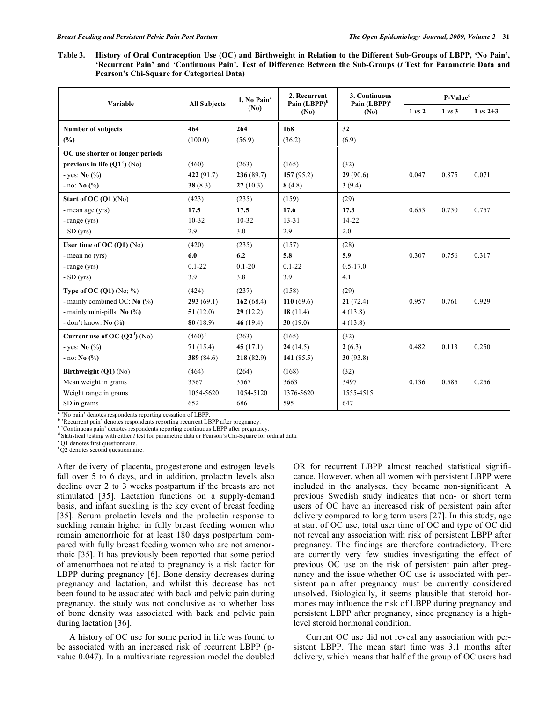**Table 3. History of Oral Contraception Use (OC) and Birthweight in Relation to the Different Sub-Groups of LBPP, 'No Pain', 'Recurrent Pain' and 'Continuous Pain'. Test of Difference Between the Sub-Groups (***t* **Test for Parametric Data and Pearson's Chi-Square for Categorical Data)** 

| Variable                               | <b>All Subjects</b> | 1. No Pain <sup>a</sup><br>(N <sub>0</sub> ) | 2. Recurrent<br>Pain $(LBPP)^b$<br>(No) | 3. Continuous<br>Pain $(LBPP)^c$<br>(No) | P-Value <sup>d</sup> |                   |                     |
|----------------------------------------|---------------------|----------------------------------------------|-----------------------------------------|------------------------------------------|----------------------|-------------------|---------------------|
|                                        |                     |                                              |                                         |                                          | $1 \text{ vs } 2$    | $1 \text{ vs } 3$ | $1 \text{ vs } 2+3$ |
| <b>Number of subjects</b>              | 464                 | 264                                          | 168                                     | 32                                       |                      |                   |                     |
| (%)                                    | (100.0)             | (56.9)                                       | (36.2)                                  | (6.9)                                    |                      |                   |                     |
| OC use shorter or longer periods       |                     |                                              |                                         |                                          |                      |                   |                     |
| previous in life $(Q1^{\circ})$ (No)   | (460)               | (263)                                        | (165)                                   | (32)                                     |                      |                   |                     |
| - yes: $\textbf{No} \, (\%)$           | 422(91.7)           | 236(89.7)                                    | 157(95.2)                               | 29(90.6)                                 | 0.047                | 0.875             | 0.071               |
| $-$ no: No $(\%)$                      | 38(8.3)             | 27(10.3)                                     | 8(4.8)                                  | 3(9.4)                                   |                      |                   |                     |
| Start of OC $(Q1)(No)$                 | (423)               | (235)                                        | (159)                                   | (29)                                     |                      |                   |                     |
| - mean age (yrs)                       | 17.5                | 17.5                                         | 17.6                                    | 17.3                                     | 0.653                | 0.750             | 0.757               |
| - range (yrs)                          | $10 - 32$           | $10 - 32$                                    | $13 - 31$                               | $14 - 22$                                |                      |                   |                     |
| $-SD(yrs)$                             | 2.9                 | 3.0                                          | 2.9                                     | 2.0                                      |                      |                   |                     |
| User time of OC $(Q1)$ $(No)$          | (420)               | (235)                                        | (157)                                   | (28)                                     |                      |                   |                     |
| - mean no (yrs)                        | 6.0                 | 6.2                                          | 5.8                                     | 5.9                                      | 0.307                | 0.756             | 0.317               |
| - range (yrs)                          | $0.1 - 22$          | $0.1 - 20$                                   | $0.1 - 22$                              | $0.5 - 17.0$                             |                      |                   |                     |
| $-SD(yrs)$                             | 3.9                 | 3.8                                          | 3.9                                     | 4.1                                      |                      |                   |                     |
| Type of OC $(Q1)$ (No; %)              | (424)               | (237)                                        | (158)                                   | (29)                                     |                      |                   |                     |
| - mainly combined OC: No $\frac{6}{6}$ | 293(69.1)           | 162 $(68.4)$                                 | 110(69.6)                               | 21(72.4)                                 | 0.957                | 0.761             | 0.929               |
| - mainly mini-pills: No (%)            | 51(12.0)            | 29(12.2)                                     | 18(11.4)                                | 4(13.8)                                  |                      |                   |                     |
| - don't know: $\mathbf{No}$ (%)        | 80(18.9)            | 46 $(19.4)$                                  | 30(19.0)                                | 4(13.8)                                  |                      |                   |                     |
| Current use of OC $(Q2^f)$ (No)        | $(460)^e$           | (263)                                        | (165)                                   | (32)                                     |                      |                   |                     |
| - yes: $No$ (%)                        | 71(15.4)            | 45 $(17.1)$                                  | 24(14.5)                                | 2(6.3)                                   | 0.482                | 0.113             | 0.250               |
| $-$ no: <b>No</b> $\binom{0}{0}$       | 389 $(84.6)$        | 218(82.9)                                    | 141 $(85.5)$                            | 30(93.8)                                 |                      |                   |                     |
| Birthweight (Q1) (No)                  | (464)               | (264)                                        | (168)                                   | (32)                                     |                      |                   |                     |
| Mean weight in grams                   | 3567                | 3567                                         | 3663                                    | 3497                                     | 0.136                | 0.585             | 0.256               |
| Weight range in grams                  | 1054-5620           | 1054-5120                                    | 1376-5620                               | 1555-4515                                |                      |                   |                     |
| SD in grams                            | 652                 | 686                                          | 595                                     | 647                                      |                      |                   |                     |

<sup>a</sup> 'No pain' denotes respondents reporting cessation of LBPP.

**b** 'Recurrent pain' denotes respondents reporting recurrent LBPP after pregnancy.

<sup>e</sup> 'Continuous pain' denotes respondents reporting continuous LBPP after pregnancy.

<sup>d</sup> Statistical testing with either *t* test for parametric data or Pearson's Chi-Square for ordinal data.

**<sup>e</sup>**Q1 denotes first questionnaire.

<sup>f</sup>Q2 denotes second questionnaire.

After delivery of placenta, progesterone and estrogen levels fall over 5 to 6 days, and in addition, prolactin levels also decline over 2 to 3 weeks postpartum if the breasts are not stimulated [35]. Lactation functions on a supply-demand basis, and infant suckling is the key event of breast feeding [35]. Serum prolactin levels and the prolactin response to suckling remain higher in fully breast feeding women who remain amenorrhoic for at least 180 days postpartum compared with fully breast feeding women who are not amenorrhoic [35]. It has previously been reported that some period of amenorrhoea not related to pregnancy is a risk factor for LBPP during pregnancy [6]. Bone density decreases during pregnancy and lactation, and whilst this decrease has not been found to be associated with back and pelvic pain during pregnancy, the study was not conclusive as to whether loss of bone density was associated with back and pelvic pain during lactation [36].

 A history of OC use for some period in life was found to be associated with an increased risk of recurrent LBPP (pvalue 0.047). In a multivariate regression model the doubled OR for recurrent LBPP almost reached statistical significance. However, when all women with persistent LBPP were included in the analyses, they became non-significant. A previous Swedish study indicates that non- or short term users of OC have an increased risk of persistent pain after delivery compared to long term users [27]. In this study, age at start of OC use, total user time of OC and type of OC did not reveal any association with risk of persistent LBPP after pregnancy. The findings are therefore contradictory. There are currently very few studies investigating the effect of previous OC use on the risk of persistent pain after pregnancy and the issue whether OC use is associated with persistent pain after pregnancy must be currently considered unsolved. Biologically, it seems plausible that steroid hormones may influence the risk of LBPP during pregnancy and persistent LBPP after pregnancy, since pregnancy is a highlevel steroid hormonal condition.

 Current OC use did not reveal any association with persistent LBPP. The mean start time was 3.1 months after delivery, which means that half of the group of OC users had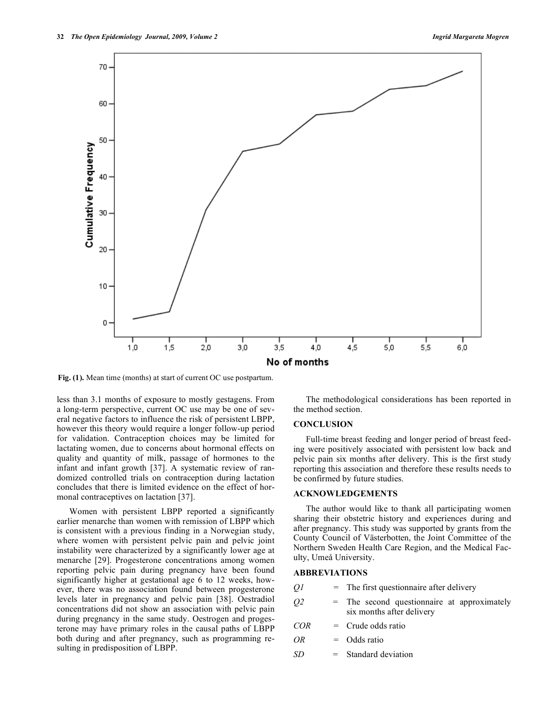

**Fig. (1).** Mean time (months) at start of current OC use postpartum.

less than 3.1 months of exposure to mostly gestagens. From a long-term perspective, current OC use may be one of several negative factors to influence the risk of persistent LBPP, however this theory would require a longer follow-up period for validation. Contraception choices may be limited for lactating women, due to concerns about hormonal effects on quality and quantity of milk, passage of hormones to the infant and infant growth [37]. A systematic review of randomized controlled trials on contraception during lactation concludes that there is limited evidence on the effect of hormonal contraceptives on lactation [37].

 Women with persistent LBPP reported a significantly earlier menarche than women with remission of LBPP which is consistent with a previous finding in a Norwegian study, where women with persistent pelvic pain and pelvic joint instability were characterized by a significantly lower age at menarche [29]. Progesterone concentrations among women reporting pelvic pain during pregnancy have been found significantly higher at gestational age 6 to 12 weeks, however, there was no association found between progesterone levels later in pregnancy and pelvic pain [38]. Oestradiol concentrations did not show an association with pelvic pain during pregnancy in the same study. Oestrogen and progesterone may have primary roles in the causal paths of LBPP both during and after pregnancy, such as programming resulting in predisposition of LBPP.

 The methodological considerations has been reported in the method section.

# **CONCLUSION**

 Full-time breast feeding and longer period of breast feeding were positively associated with persistent low back and pelvic pain six months after delivery. This is the first study reporting this association and therefore these results needs to be confirmed by future studies.

## **ACKNOWLEDGEMENTS**

 The author would like to thank all participating women sharing their obstetric history and experiences during and after pregnancy. This study was supported by grants from the County Council of Västerbotten, the Joint Committee of the Northern Sweden Health Care Region, and the Medical Faculty, Umeå University.

# **ABBREVIATIONS**

- *Q1 =* The first questionnaire after delivery
- *Q2* = The second questionnaire at approximately six months after delivery
- *COR =* Crude odds ratio
- *OR =* Odds ratio
- *SD* = Standard deviation